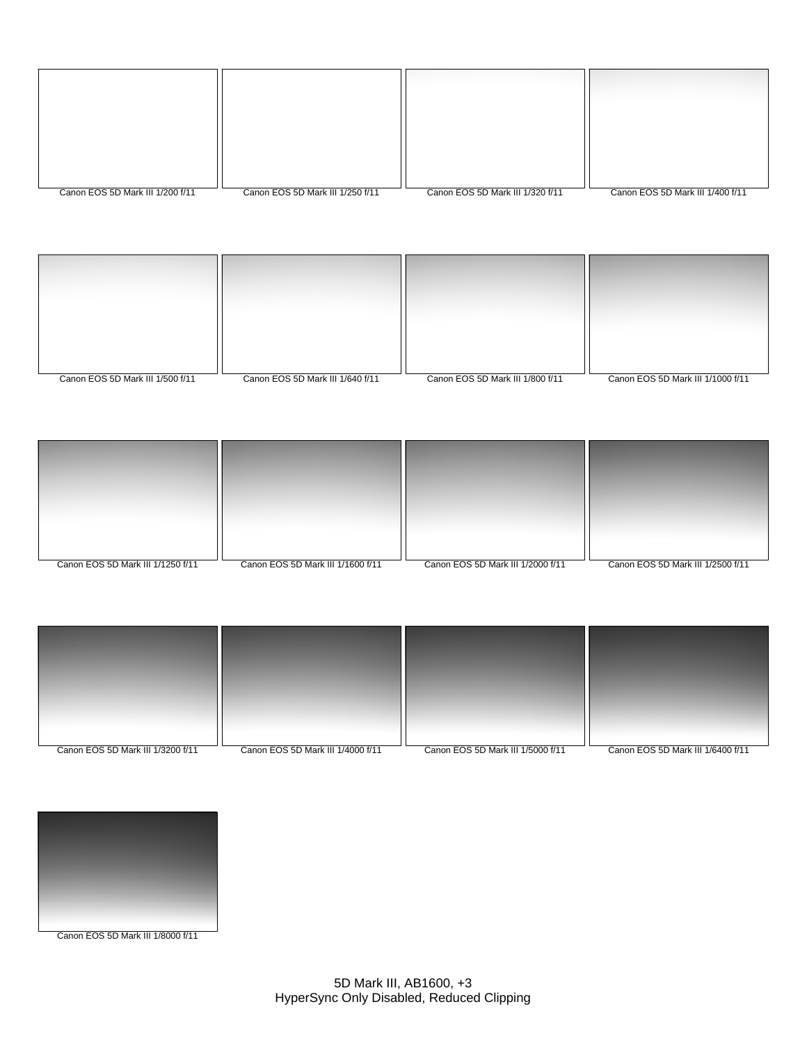| Canon EOS 5D Mark III 1/200 f/11 | Canon EOS 5D Mark III 1/250 f/11 | Canon EOS 5D Mark III 1/320 f/11 | Canon EOS 5D Mark III 1/400 f/11 |
|----------------------------------|----------------------------------|----------------------------------|----------------------------------|

| Canon EOS 5D Mark III 1/500 f/11 | Canon EOS 5D Mark III 1/640 f/11 | Canon EOS 5D Mark III 1/800 f/11 | Canon EOS 5D Mark III 1/1000 f/11 |
|----------------------------------|----------------------------------|----------------------------------|-----------------------------------|

| Canon EOS 5D Mark III 1/1250 f/11 | Canon EOS 5D Mark III 1/1600 f/11 | Canon EOS 5D Mark III 1/2000 f/11 | Canon EOS 5D Mark III 1/2500 f/11 |
|-----------------------------------|-----------------------------------|-----------------------------------|-----------------------------------|



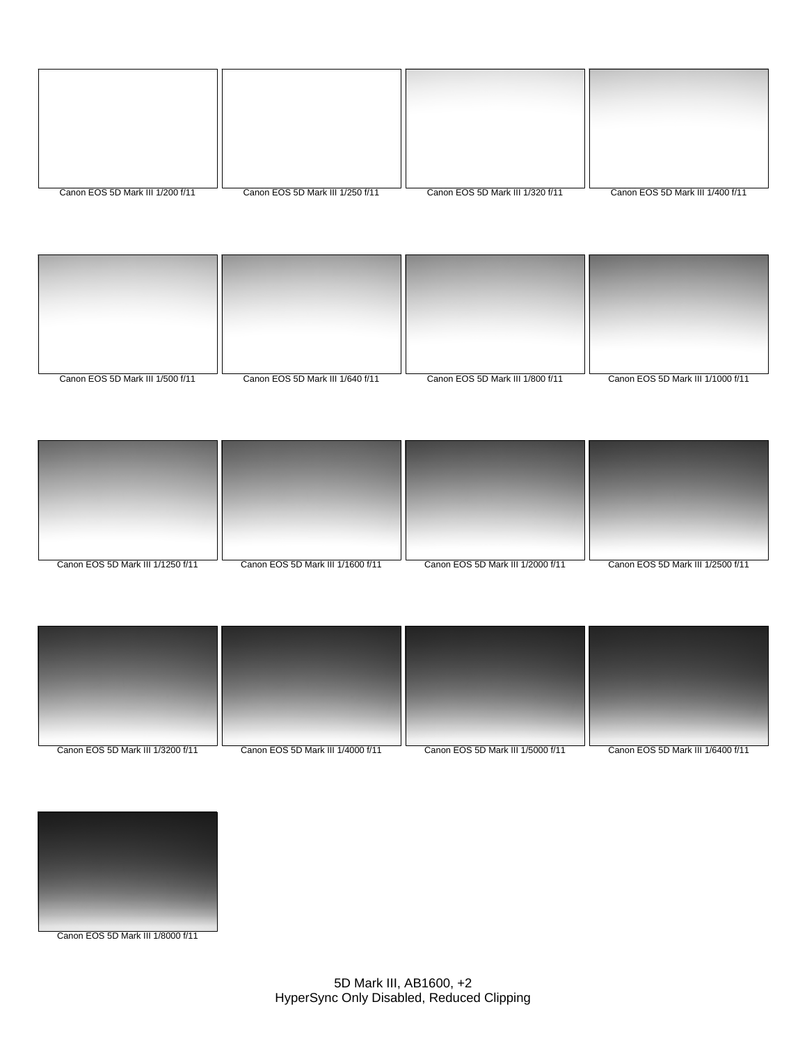| Canon EOS 5D Mark III 1/200 f/11 | Canon EOS 5D Mark III 1/250 f/11 | Canon EOS 5D Mark III 1/320 f/11 | Canon EOS 5D Mark III 1/400 f/11 |
|----------------------------------|----------------------------------|----------------------------------|----------------------------------|







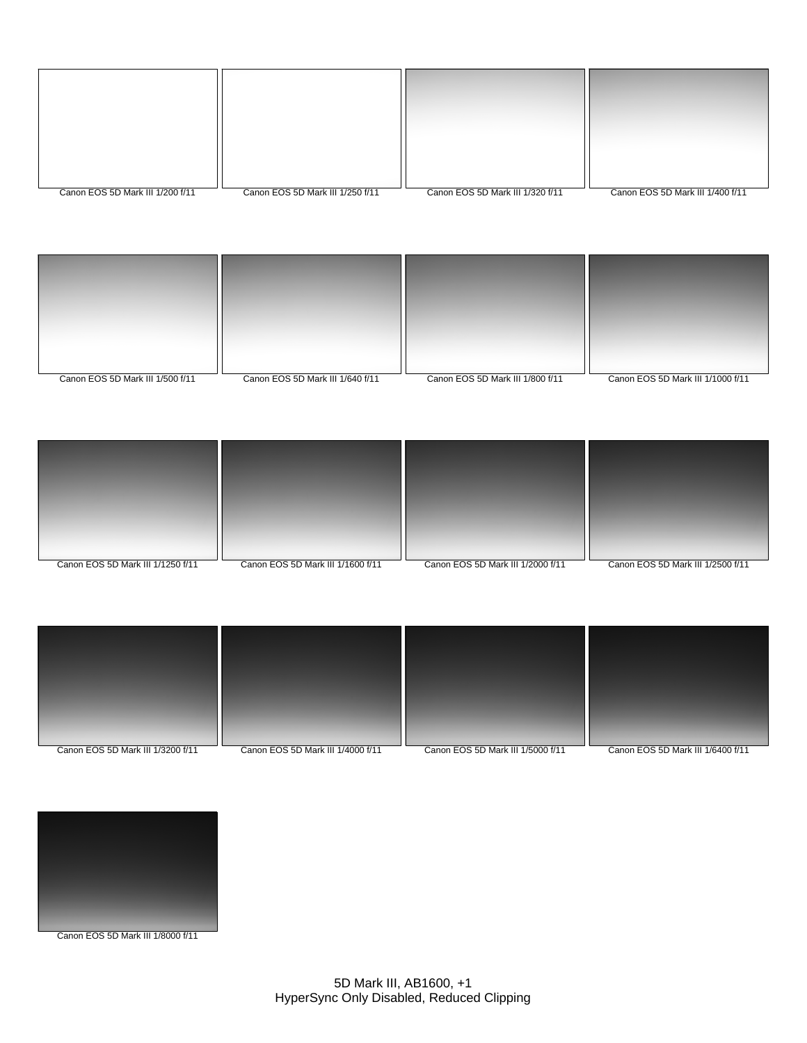| Canon EOS 5D Mark III 1/200 f/11 | Canon EOS 5D Mark III 1/250 f/11 | Canon EOS 5D Mark III 1/320 f/11 | Canon EOS 5D Mark III 1/400 f/11 |
|----------------------------------|----------------------------------|----------------------------------|----------------------------------|







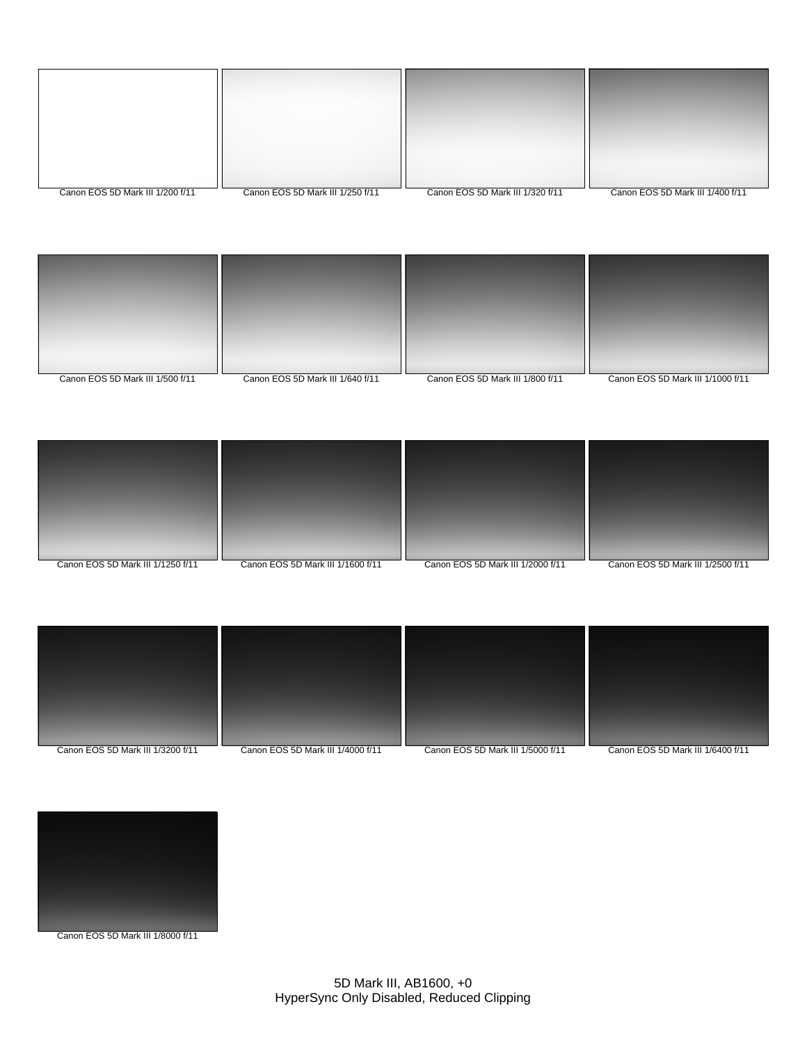| Canon EOS 5D Mark III 1/200 f/11 | Canon EOS 5D Mark III 1/250 f/11 | Canon EOS 5D Mark III 1/320 f/11 | Canon EOS 5D Mark III 1/400 f/11 |
|----------------------------------|----------------------------------|----------------------------------|----------------------------------|







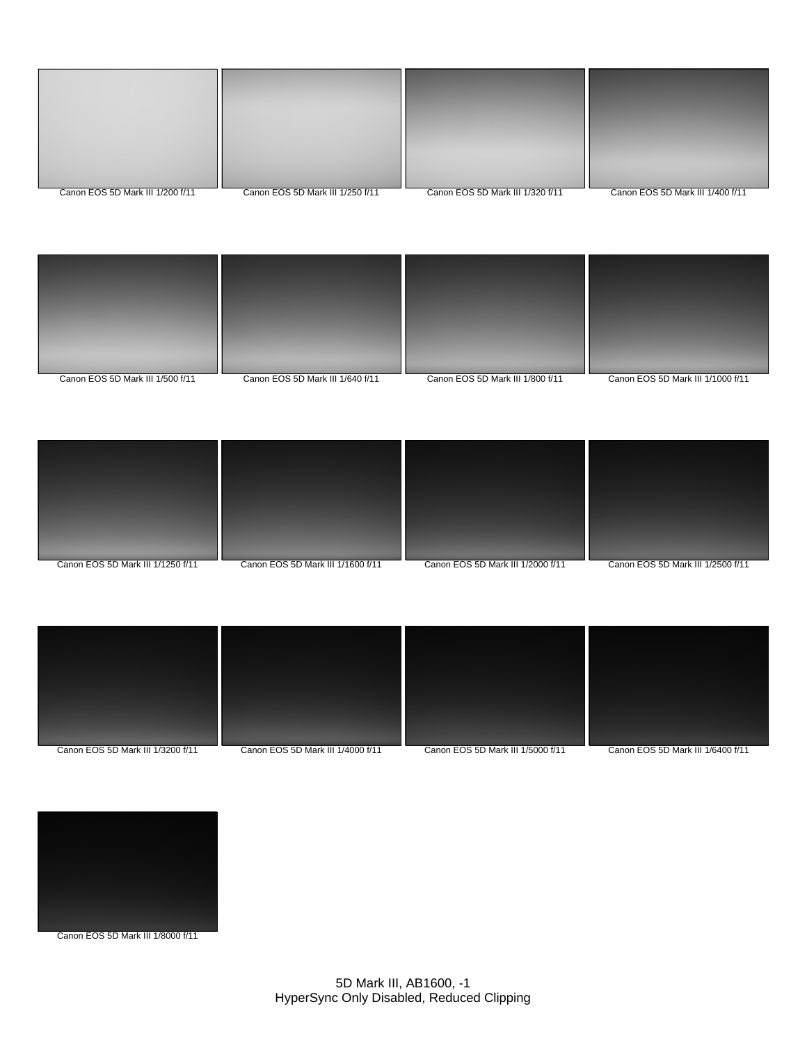| Canon EOS 5D Mark III 1/200 f/11 | Canon EOS 5D Mark III 1/250 f/11 | Canon EOS 5D Mark III 1/320 f/11 | Canon EOS 5D Mark III 1/400 f/11 |
|----------------------------------|----------------------------------|----------------------------------|----------------------------------|







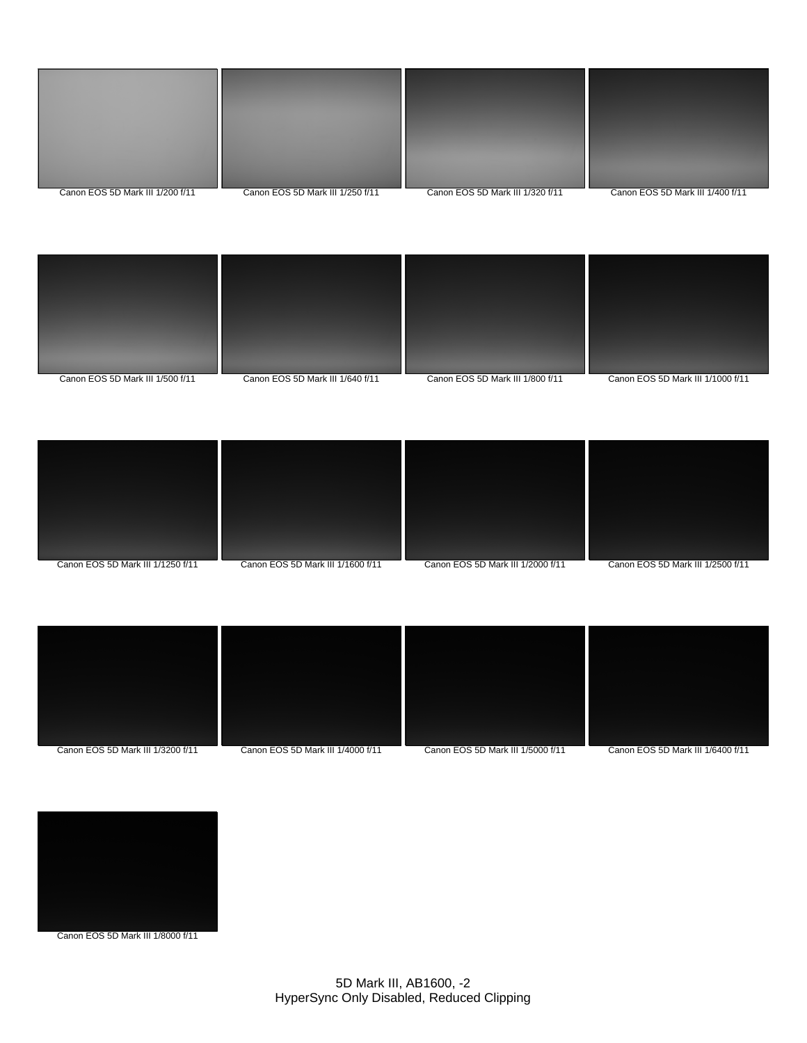